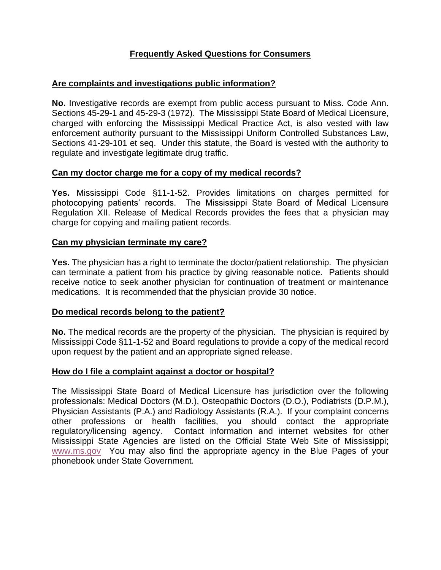# **Frequently Asked Questions for Consumers**

## **Are complaints and investigations public information?**

**No.** Investigative records are exempt from public access pursuant to Miss. Code Ann. Sections 45-29-1 and 45-29-3 (1972). The Mississippi State Board of Medical Licensure, charged with enforcing the Mississippi Medical Practice Act, is also vested with law enforcement authority pursuant to the Mississippi Uniform Controlled Substances Law, Sections 41-29-101 et seq. Under this statute, the Board is vested with the authority to regulate and investigate legitimate drug traffic.

### **Can my doctor charge me for a copy of my medical records?**

**Yes.** Mississippi Code §11-1-52. Provides limitations on charges permitted for photocopying patients' records. The Mississippi State Board of Medical Licensure Regulation XII. Release of Medical Records provides the fees that a physician may charge for copying and mailing patient records.

#### **Can my physician terminate my care?**

**Yes.** The physician has a right to terminate the doctor/patient relationship. The physician can terminate a patient from his practice by giving reasonable notice. Patients should receive notice to seek another physician for continuation of treatment or maintenance medications. It is recommended that the physician provide 30 notice.

### **Do medical records belong to the patient?**

**No.** The medical records are the property of the physician. The physician is required by Mississippi Code §11-1-52 and Board regulations to provide a copy of the medical record upon request by the patient and an appropriate signed release.

### **How do I file a complaint against a doctor or hospital?**

The Mississippi State Board of Medical Licensure has jurisdiction over the following professionals: Medical Doctors (M.D.), Osteopathic Doctors (D.O.), Podiatrists (D.P.M.), Physician Assistants (P.A.) and Radiology Assistants (R.A.). If your complaint concerns other professions or health facilities, you should contact the appropriate regulatory/licensing agency. Contact information and internet websites for other Mississippi State Agencies are listed on the Official State Web Site of Mississippi; [www.ms.gov](http://www.ms.gov/) You may also find the appropriate agency in the Blue Pages of your phonebook under State Government.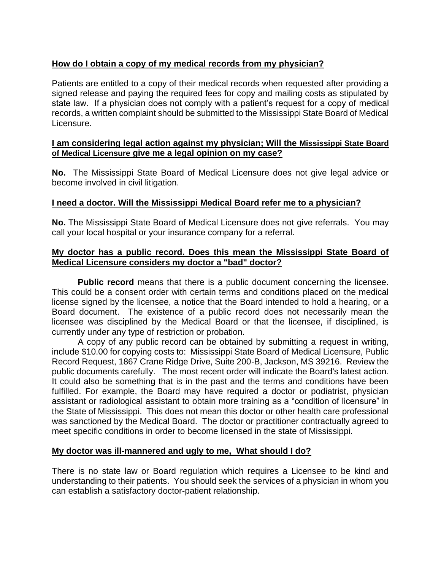## **How do I obtain a copy of my medical records from my physician?**

Patients are entitled to a copy of their medical records when requested after providing a signed release and paying the required fees for copy and mailing costs as stipulated by state law. If a physician does not comply with a patient's request for a copy of medical records, a written complaint should be submitted to the Mississippi State Board of Medical Licensure.

#### **I am considering legal action against my physician; Will the Mississippi State Board of Medical Licensure give me a legal opinion on my case?**

**No.** The Mississippi State Board of Medical Licensure does not give legal advice or become involved in civil litigation.

#### **I need a doctor. Will the Mississippi Medical Board refer me to a physician?**

**No.** The Mississippi State Board of Medical Licensure does not give referrals. You may call your local hospital or your insurance company for a referral.

#### **My doctor has a public record. Does this mean the Mississippi State Board of Medical Licensure considers my doctor a "bad" doctor?**

**Public record** means that there is a public document concerning the licensee. This could be a consent order with certain terms and conditions placed on the medical license signed by the licensee, a notice that the Board intended to hold a hearing, or a Board document. The existence of a public record does not necessarily mean the licensee was disciplined by the Medical Board or that the licensee, if disciplined, is currently under any type of restriction or probation.

A copy of any public record can be obtained by submitting a request in writing, include \$10.00 for copying costs to: Mississippi State Board of Medical Licensure, Public Record Request, 1867 Crane Ridge Drive, Suite 200-B, Jackson, MS 39216. Review the public documents carefully. The most recent order will indicate the Board's latest action. It could also be something that is in the past and the terms and conditions have been fulfilled. For example, the Board may have required a doctor or podiatrist, physician assistant or radiological assistant to obtain more training as a "condition of licensure" in the State of Mississippi. This does not mean this doctor or other health care professional was sanctioned by the Medical Board. The doctor or practitioner contractually agreed to meet specific conditions in order to become licensed in the state of Mississippi.

### **My doctor was ill-mannered and ugly to me, What should I do?**

There is no state law or Board regulation which requires a Licensee to be kind and understanding to their patients. You should seek the services of a physician in whom you can establish a satisfactory doctor-patient relationship.